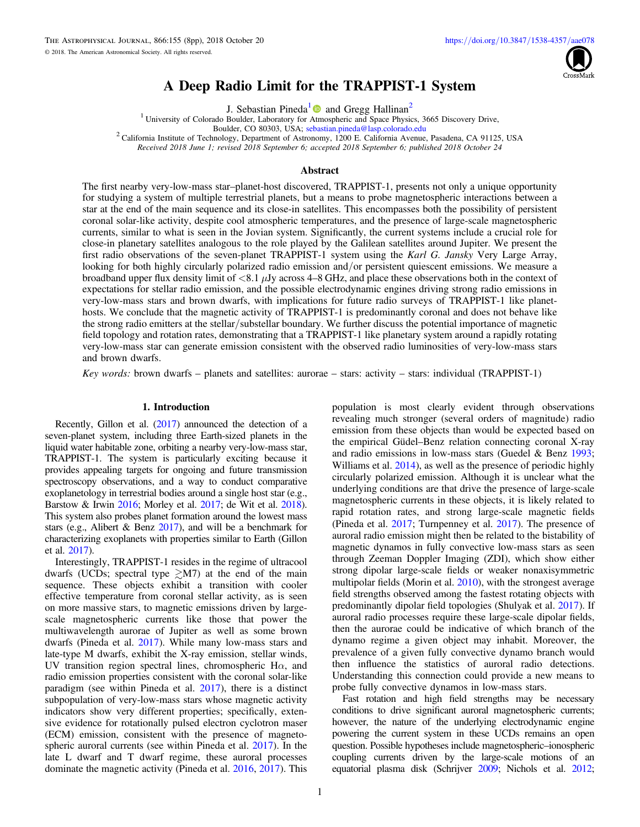

# A Deep Radio Limit for the TRAPPIST-1 System

J. Sebastian Pineda<sup>[1](https://orcid.org/0000-0002-4489-0135)</sup> and Gregg Hallinan<sup>2</sup>

<sup>1</sup> University of Colorado Boulder, Laboratory for [Atm](https://orcid.org/0000-0002-4489-0135)ospheric and Space Physics, 3665 Discovery Drive,

<span id="page-0-0"></span>Boulder, CO 80303, USA; [sebastian.pineda@lasp.colorado.edu](mailto:sebastian.pineda@lasp.colorado.edu) <sup>2</sup> California Institute of Technology, Department of Astronomy, 1200 E. California Avenue, Pasadena, CA 91125, USA

Received 2018 June 1; revised 2018 September 6; accepted 2018 September 6; published 2018 October 24

# Abstract

The first nearby very-low-mass star–planet-host discovered, TRAPPIST-1, presents not only a unique opportunity for studying a system of multiple terrestrial planets, but a means to probe magnetospheric interactions between a star at the end of the main sequence and its close-in satellites. This encompasses both the possibility of persistent coronal solar-like activity, despite cool atmospheric temperatures, and the presence of large-scale magnetospheric currents, similar to what is seen in the Jovian system. Significantly, the current systems include a crucial role for close-in planetary satellites analogous to the role played by the Galilean satellites around Jupiter. We present the first radio observations of the seven-planet TRAPPIST-1 system using the Karl G. Jansky Very Large Array, looking for both highly circularly polarized radio emission and/or persistent quiescent emissions. We measure a broadband upper flux density limit of  $\langle 8.1 \mu Jy \rangle$  across 4–8 GHz, and place these observations both in the context of expectations for stellar radio emission, and the possible electrodynamic engines driving strong radio emissions in very-low-mass stars and brown dwarfs, with implications for future radio surveys of TRAPPIST-1 like planethosts. We conclude that the magnetic activity of TRAPPIST-1 is predominantly coronal and does not behave like the strong radio emitters at the stellar/substellar boundary. We further discuss the potential importance of magnetic field topology and rotation rates, demonstrating that a TRAPPIST-1 like planetary system around a rapidly rotating very-low-mass star can generate emission consistent with the observed radio luminosities of very-low-mass stars and brown dwarfs.

Key words: brown dwarfs – planets and satellites: aurorae – stars: activity – stars: individual (TRAPPIST-1)

## 1. Introduction

Recently, Gillon et al. ([2017](#page-7-0)) announced the detection of a seven-planet system, including three Earth-sized planets in the liquid water habitable zone, orbiting a nearby very-low-mass star, TRAPPIST-1. The system is particularly exciting because it provides appealing targets for ongoing and future transmission spectroscopy observations, and a way to conduct comparative exoplanetology in terrestrial bodies around a single host star (e.g., Barstow & Irwin [2016;](#page-7-0) Morley et al. [2017](#page-7-0); de Wit et al. [2018](#page-7-0)). This system also probes planet formation around the lowest mass stars (e.g., Alibert & Benz [2017](#page-7-0)), and will be a benchmark for characterizing exoplanets with properties similar to Earth (Gillon et al. [2017](#page-7-0)).

Interestingly, TRAPPIST-1 resides in the regime of ultracool dwarfs (UCDs; spectral type  $\gtrsim M7$ ) at the end of the main sequence. These objects exhibit a transition with cooler effective temperature from coronal stellar activity, as is seen on more massive stars, to magnetic emissions driven by largescale magnetospheric currents like those that power the multiwavelength aurorae of Jupiter as well as some brown dwarfs (Pineda et al. [2017](#page-7-0)). While many low-mass stars and late-type M dwarfs, exhibit the X-ray emission, stellar winds, UV transition region spectral lines, chromospheric H $\alpha$ , and radio emission properties consistent with the coronal solar-like paradigm (see within Pineda et al. [2017](#page-7-0)), there is a distinct subpopulation of very-low-mass stars whose magnetic activity indicators show very different properties; specifically, extensive evidence for rotationally pulsed electron cyclotron maser (ECM) emission, consistent with the presence of magnetospheric auroral currents (see within Pineda et al. [2017](#page-7-0)). In the late L dwarf and T dwarf regime, these auroral processes dominate the magnetic activity (Pineda et al. [2016,](#page-7-0) [2017](#page-7-0)). This

population is most clearly evident through observations revealing much stronger (several orders of magnitude) radio emission from these objects than would be expected based on the empirical Güdel–Benz relation connecting coronal X-ray and radio emissions in low-mass stars (Guedel & Benz [1993](#page-7-0); Williams et al. [2014](#page-7-0)), as well as the presence of periodic highly circularly polarized emission. Although it is unclear what the underlying conditions are that drive the presence of large-scale magnetospheric currents in these objects, it is likely related to rapid rotation rates, and strong large-scale magnetic fields (Pineda et al. [2017;](#page-7-0) Turnpenney et al. [2017](#page-7-0)). The presence of auroral radio emission might then be related to the bistability of magnetic dynamos in fully convective low-mass stars as seen through Zeeman Doppler Imaging (ZDI), which show either strong dipolar large-scale fields or weaker nonaxisymmetric multipolar fields (Morin et al. [2010](#page-7-0)), with the strongest average field strengths observed among the fastest rotating objects with predominantly dipolar field topologies (Shulyak et al. [2017](#page-7-0)). If auroral radio processes require these large-scale dipolar fields, then the aurorae could be indicative of which branch of the dynamo regime a given object may inhabit. Moreover, the prevalence of a given fully convective dynamo branch would then influence the statistics of auroral radio detections. Understanding this connection could provide a new means to probe fully convective dynamos in low-mass stars.

Fast rotation and high field strengths may be necessary conditions to drive significant auroral magnetospheric currents; however, the nature of the underlying electrodynamic engine powering the current system in these UCDs remains an open question. Possible hypotheses include magnetospheric–ionospheric coupling currents driven by the large-scale motions of an equatorial plasma disk (Schrijver [2009;](#page-7-0) Nichols et al. [2012](#page-7-0);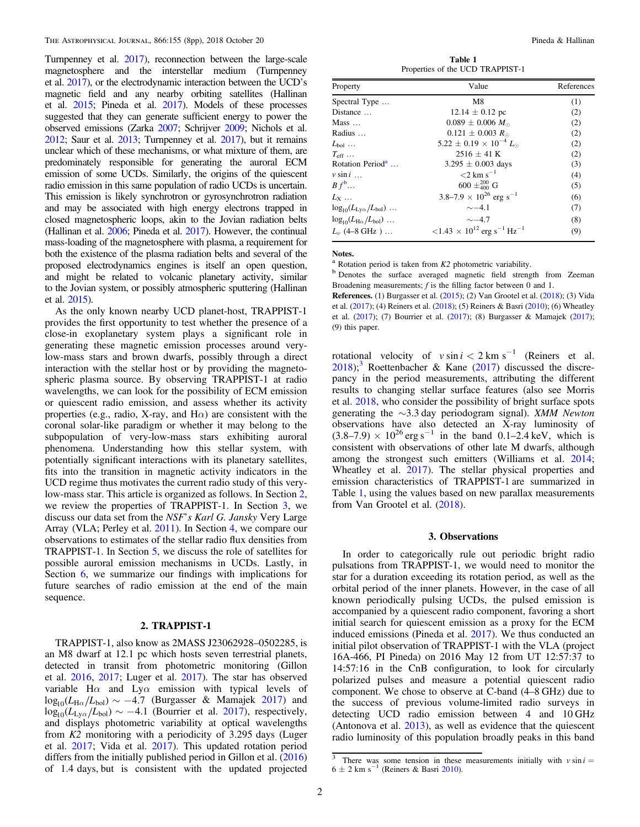<span id="page-1-0"></span>Turnpenney et al. [2017](#page-7-0)), reconnection between the large-scale magnetosphere and the interstellar medium (Turnpenney et al. [2017](#page-7-0)), or the electrodynamic interaction between the UCD's magnetic field and any nearby orbiting satellites (Hallinan et al. [2015;](#page-7-0) Pineda et al. [2017](#page-7-0)). Models of these processes suggested that they can generate sufficient energy to power the observed emissions (Zarka [2007](#page-7-0); Schrijver [2009;](#page-7-0) Nichols et al. [2012;](#page-7-0) Saur et al. [2013;](#page-7-0) Turnpenney et al. [2017](#page-7-0)), but it remains unclear which of these mechanisms, or what mixture of them, are predominately responsible for generating the auroral ECM emission of some UCDs. Similarly, the origins of the quiescent radio emission in this same population of radio UCDs is uncertain. This emission is likely synchrotron or gyrosynchrotron radiation and may be associated with high energy electrons trapped in closed magnetospheric loops, akin to the Jovian radiation belts (Hallinan et al. [2006;](#page-7-0) Pineda et al. [2017](#page-7-0)). However, the continual mass-loading of the magnetosphere with plasma, a requirement for both the existence of the plasma radiation belts and several of the proposed electrodynamics engines is itself an open question, and might be related to volcanic planetary activity, similar to the Jovian system, or possibly atmospheric sputtering (Hallinan et al. [2015](#page-7-0)).

As the only known nearby UCD planet-host, TRAPPIST-1 provides the first opportunity to test whether the presence of a close-in exoplanetary system plays a significant role in generating these magnetic emission processes around verylow-mass stars and brown dwarfs, possibly through a direct interaction with the stellar host or by providing the magnetospheric plasma source. By observing TRAPPIST-1 at radio wavelengths, we can look for the possibility of ECM emission or quiescent radio emission, and assess whether its activity properties (e.g., radio, X-ray, and  $H\alpha$ ) are consistent with the coronal solar-like paradigm or whether it may belong to the subpopulation of very-low-mass stars exhibiting auroral phenomena. Understanding how this stellar system, with potentially significant interactions with its planetary satellites, fits into the transition in magnetic activity indicators in the UCD regime thus motivates the current radio study of this verylow-mass star. This article is organized as follows. In Section 2, we review the properties of TRAPPIST-1. In Section 3, we discuss our data set from the NSF's Karl G. Jansky Very Large Array (VLA; Perley et al. [2011](#page-7-0)). In Section [4,](#page-2-0) we compare our observations to estimates of the stellar radio flux densities from TRAPPIST-1. In Section [5](#page-4-0), we discuss the role of satellites for possible auroral emission mechanisms in UCDs. Lastly, in Section [6](#page-6-0), we summarize our findings with implications for future searches of radio emission at the end of the main sequence.

# 2. TRAPPIST-1

TRAPPIST-1, also know as 2MASS J23062928–0502285, is an M8 dwarf at 12.1 pc which hosts seven terrestrial planets, detected in transit from photometric monitoring (Gillon et al. [2016,](#page-7-0) [2017](#page-7-0); Luger et al. [2017](#page-7-0)). The star has observed variable H $\alpha$  and Ly $\alpha$  emission with typical levels of  $\log_{10}(L_{\text{H}\alpha}/L_{\text{bol}}) \sim -4.7$  (Burgasser & Mamajek [2017](#page-7-0)) and  $\log_{10}(L_{\text{Ly}\alpha}/L_{\text{bol}}) \sim -4.1$  (Bourrier et al. [2017](#page-7-0)), respectively, and displays photometric variability at optical wavelengths from K2 monitoring with a periodicity of 3.295 days (Luger et al. [2017;](#page-7-0) Vida et al. [2017](#page-7-0)). This updated rotation period differs from the initially published period in Gillon et al. ([2016](#page-7-0)) of 1.4 days, but is consistent with the updated projected

Table 1 Properties of the UCD TRAPPIST-1

| Property                                      | Value                                                                   | References |
|-----------------------------------------------|-------------------------------------------------------------------------|------------|
| Spectral Type                                 | M8                                                                      | (1)        |
| Distance                                      | $12.14 \pm 0.12$ pc                                                     | (2)        |
| $Mass \dots$                                  | $0.089 \pm 0.006 M_{\odot}$                                             | (2)        |
| Radius                                        | $0.121 \pm 0.003 R_{\odot}$                                             | (2)        |
| $L_{\rm bol}$                                 | $5.22 \pm 0.19 \times 10^{-4} L_{\odot}$                                | (2)        |
| $T_{\rm eff}$                                 | $2516 \pm 41$ K                                                         | (2)        |
| Rotation Period <sup>a</sup>                  | $3.295 \pm 0.003$ days                                                  | (3)        |
| $v \sin i$                                    | $\rm <$ 2 km s <sup><math>-1</math></sup>                               | (4)        |
| $B f^b \dots$                                 | $600 \pm ^{200}_{400}$ G                                                | (5)        |
| $L_{\rm Y}$                                   | 3.8–7.9 $\times$ 10 <sup>26</sup> erg s <sup>-1</sup>                   | (6)        |
| $log_{10}(L_{Ly\alpha}/L_{bol})$              | $\sim$ -4.1                                                             | (7)        |
| $log_{10}(L_{\text{H}\alpha}/L_{\text{bol}})$ | $\sim$ -4.7                                                             | (8)        |
| $L_{\nu}$ (4–8 GHz)                           | $<$ 1.43 $\times$ 10 <sup>12</sup> erg s <sup>-1</sup> Hz <sup>-1</sup> | (9)        |

Notes.<br><sup>a</sup> Rotation period is taken from *K2* photometric variability.

<sup>b</sup> Denotes the surface averaged magnetic field strength from Zeeman Broadening measurements;  $f$  is the filling factor between 0 and 1.

References. (1) Burgasser et al. ([2015](#page-7-0)); (2) Van Grootel et al. ([2018](#page-7-0)); (3) Vida et al. ([2017](#page-7-0)); (4) Reiners et al. ([2018](#page-7-0)); (5) Reiners & Basri ([2010](#page-7-0)); (6) Wheatley et al. ([2017](#page-7-0)); (7) Bourrier et al. ([2017](#page-7-0)); (8) Burgasser & Mamajek ([2017](#page-7-0)); (9) this paper.

rotational velocity of  $v \sin i < 2 \text{ km s}^{-1}$  (Reiners et al.  $2018$ );<sup>3</sup> Roettenbacher & Kane ([2017](#page-7-0)) discussed the discrepancy in the period measurements, attributing the different results to changing stellar surface features (also see Morris et al. [2018](#page-7-0), who consider the possibility of bright surface spots generating the ∼3.3 day periodogram signal). XMM Newton observations have also detected an X-ray luminosity of  $(3.8-7.9) \times 10^{26}$  erg s<sup>-1</sup> in the band 0.1–2.4 keV, which is consistent with observations of other late M dwarfs, although among the strongest such emitters (Williams et al. [2014](#page-7-0); Wheatley et al. [2017](#page-7-0)). The stellar physical properties and emission characteristics of TRAPPIST-1 are summarized in Table 1, using the values based on new parallax measurements from Van Grootel et al. ([2018](#page-7-0)).

#### 3. Observations

In order to categorically rule out periodic bright radio pulsations from TRAPPIST-1, we would need to monitor the star for a duration exceeding its rotation period, as well as the orbital period of the inner planets. However, in the case of all known periodically pulsing UCDs, the pulsed emission is accompanied by a quiescent radio component, favoring a short initial search for quiescent emission as a proxy for the ECM induced emissions (Pineda et al. [2017](#page-7-0)). We thus conducted an initial pilot observation of TRAPPIST-1 with the VLA (project 16A-466, PI Pineda) on 2016 May 12 from UT 12:57:37 to 14:57:16 in the CnB configuration, to look for circularly polarized pulses and measure a potential quiescent radio component. We chose to observe at C-band (4–8 GHz) due to the success of previous volume-limited radio surveys in detecting UCD radio emission between 4 and 10 GHz (Antonova et al. [2013](#page-7-0)), as well as evidence that the quiescent radio luminosity of this population broadly peaks in this band

<sup>&</sup>lt;sup>3</sup> There was some tension in these measurements initially with  $v \sin i =$  $6 \pm 2$  km s<sup>-1</sup> (Reiners & Basri [2010](#page-7-0)).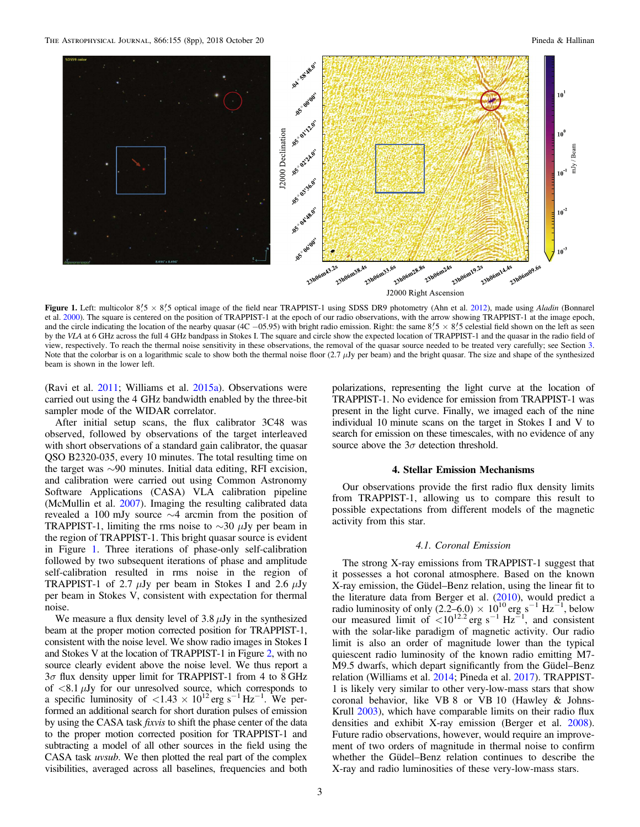<span id="page-2-0"></span>

Figure 1. Left: multicolor  $8\frac{7}{5} \times 8\frac{7}{5}$  optical image of the field near TRAPPIST-1 using SDSS DR9 photometry (Ahn et al. [2012](#page-7-0)), made using Aladin (Bonnarel et al. [2000](#page-7-0)). The square is centered on the position of TRAPPIST-1 at the epoch of our radio observations, with the arrow showing TRAPPIST-1 at the image epoch, and the circle indicating the location of the nearby quasar (4C −05.95) with bright radio emission. Right: the same  $8/5 \times 8/5$  celestial field shown on the left as seen by the VLA at 6 GHz across the full 4 GHz bandpass in Stokes I. The square and circle show the expected location of TRAPPIST-1 and the quasar in the radio field of view, respectively. To reach the thermal noise sensitivity in these observations, the removal of the quasar source needed to be treated very carefully; see Section [3.](#page-1-0) Note that the colorbar is on a logarithmic scale to show both the thermal noise floor  $(2.7 \mu Jy)$  per beam) and the bright quasar. The size and shape of the synthesized beam is shown in the lower left.

(Ravi et al. [2011](#page-7-0); Williams et al. [2015a](#page-7-0)). Observations were carried out using the 4 GHz bandwidth enabled by the three-bit sampler mode of the WIDAR correlator.

After initial setup scans, the flux calibrator 3C48 was observed, followed by observations of the target interleaved with short observations of a standard gain calibrator, the quasar QSO B2320-035, every 10 minutes. The total resulting time on the target was ∼90 minutes. Initial data editing, RFI excision, and calibration were carried out using Common Astronomy Software Applications (CASA) VLA calibration pipeline (McMullin et al. [2007](#page-7-0)). Imaging the resulting calibrated data revealed a 100 mJy source ∼4 arcmin from the position of TRAPPIST-1, limiting the rms noise to  $\sim$ 30 μJy per beam in the region of TRAPPIST-1. This bright quasar source is evident in Figure 1. Three iterations of phase-only self-calibration followed by two subsequent iterations of phase and amplitude self-calibration resulted in rms noise in the region of TRAPPIST-1 of 2.7  $\mu$ Jy per beam in Stokes I and 2.6  $\mu$ Jy per beam in Stokes V, consistent with expectation for thermal noise.

We measure a flux density level of  $3.8 \mu Jy$  in the synthesized beam at the proper motion corrected position for TRAPPIST-1, consistent with the noise level. We show radio images in Stokes I and Stokes V at the location of TRAPPIST-1 in Figure [2,](#page-3-0) with no source clearly evident above the noise level. We thus report a  $3\sigma$  flux density upper limit for TRAPPIST-1 from 4 to 8 GHz of  $\langle 8.1 \mu Jy \rangle$  for our unresolved source, which corresponds to a specific luminosity of  $\langle 1.43 \times 10^{12} \text{ erg s}^{-1} \text{ Hz}^{-1}$ . We performed an additional search for short duration pulses of emission by using the CASA task *fixvis* to shift the phase center of the data to the proper motion corrected position for TRAPPIST-1 and subtracting a model of all other sources in the field using the CASA task uvsub. We then plotted the real part of the complex visibilities, averaged across all baselines, frequencies and both

polarizations, representing the light curve at the location of TRAPPIST-1. No evidence for emission from TRAPPIST-1 was present in the light curve. Finally, we imaged each of the nine individual 10 minute scans on the target in Stokes I and V to search for emission on these timescales, with no evidence of any source above the  $3\sigma$  detection threshold.

## 4. Stellar Emission Mechanisms

Our observations provide the first radio flux density limits from TRAPPIST-1, allowing us to compare this result to possible expectations from different models of the magnetic activity from this star.

# 4.1. Coronal Emission

The strong X-ray emissions from TRAPPIST-1 suggest that it possesses a hot coronal atmosphere. Based on the known X-ray emission, the Güdel–Benz relation, using the linear fit to the literature data from Berger et al. ([2010](#page-7-0)), would predict a radio luminosity of only  $(2.2-6.0) \times 10^{10}$  erg s<sup>-1</sup> Hz<sup>-1</sup>, below our measured limit of  $\lt 10^{12.2}$  erg s<sup>-1</sup> Hz<sup>-1</sup>, and consistent with the solar-like paradigm of magnetic activity. Our radio limit is also an order of magnitude lower than the typical quiescent radio luminosity of the known radio emitting M7- M9.5 dwarfs, which depart significantly from the Güdel–Benz relation (Williams et al. [2014;](#page-7-0) Pineda et al. [2017](#page-7-0)). TRAPPIST-1 is likely very similar to other very-low-mass stars that show coronal behavior, like VB 8 or VB 10 (Hawley & Johns-Krull [2003](#page-7-0)), which have comparable limits on their radio flux densities and exhibit X-ray emission (Berger et al. [2008](#page-7-0)). Future radio observations, however, would require an improvement of two orders of magnitude in thermal noise to confirm whether the Güdel–Benz relation continues to describe the X-ray and radio luminosities of these very-low-mass stars.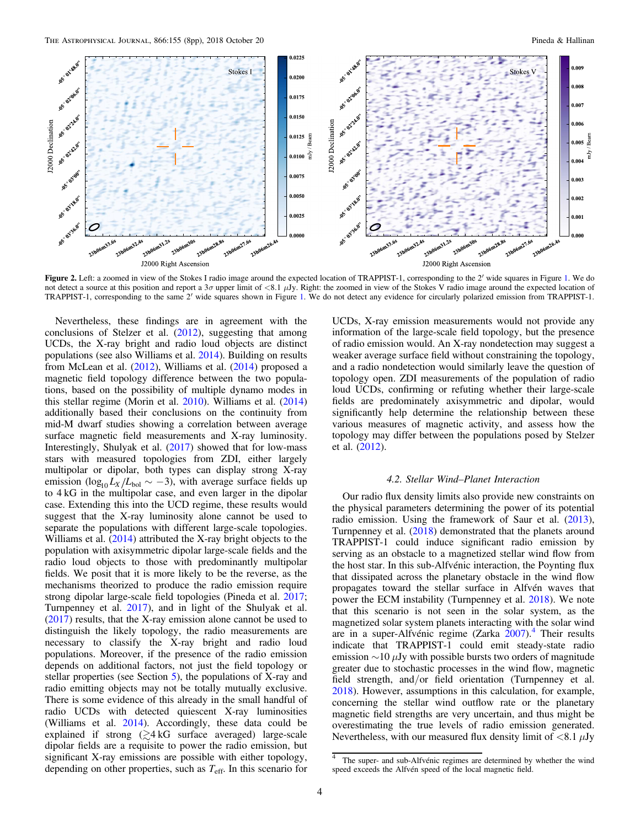<span id="page-3-0"></span>

Figure 2. Left: a zoomed in view of the Stokes I radio image around the expected location of TRAPPIST-1, corresponding to the 2' wide squares in Figure [1.](#page-2-0) We do not detect a source at this position and report a  $3\sigma$  upper limit of  $\langle 8.1 \mu Jy$ . Right: the zoomed in view of the Stokes V radio image around the expected location of TRAPPIST-1, corresponding to the same 2′ wide squares shown in Figure [1.](#page-2-0) We do not detect any evidence for circularly polarized emission from TRAPPIST-1.

Nevertheless, these findings are in agreement with the conclusions of Stelzer et al. ([2012](#page-7-0)), suggesting that among UCDs, the X-ray bright and radio loud objects are distinct populations (see also Williams et al. [2014](#page-7-0)). Building on results from McLean et al. ([2012](#page-7-0)), Williams et al. ([2014](#page-7-0)) proposed a magnetic field topology difference between the two populations, based on the possibility of multiple dynamo modes in this stellar regime (Morin et al. [2010](#page-7-0)). Williams et al. ([2014](#page-7-0)) additionally based their conclusions on the continuity from mid-M dwarf studies showing a correlation between average surface magnetic field measurements and X-ray luminosity. Interestingly, Shulyak et al. ([2017](#page-7-0)) showed that for low-mass stars with measured topologies from ZDI, either largely multipolar or dipolar, both types can display strong X-ray emission ( $\log_{10} L_X/L_{bol} \sim -3$ ), with average surface fields up to 4 kG in the multipolar case, and even larger in the dipolar case. Extending this into the UCD regime, these results would suggest that the X-ray luminosity alone cannot be used to separate the populations with different large-scale topologies. Williams et al. ([2014](#page-7-0)) attributed the X-ray bright objects to the population with axisymmetric dipolar large-scale fields and the radio loud objects to those with predominantly multipolar fields. We posit that it is more likely to be the reverse, as the mechanisms theorized to produce the radio emission require strong dipolar large-scale field topologies (Pineda et al. [2017](#page-7-0); Turnpenney et al. [2017](#page-7-0)), and in light of the Shulyak et al. ([2017](#page-7-0)) results, that the X-ray emission alone cannot be used to distinguish the likely topology, the radio measurements are necessary to classify the X-ray bright and radio loud populations. Moreover, if the presence of the radio emission depends on additional factors, not just the field topology or stellar properties (see Section [5](#page-4-0)), the populations of X-ray and radio emitting objects may not be totally mutually exclusive. There is some evidence of this already in the small handful of radio UCDs with detected quiescent X-ray luminosities (Williams et al. [2014](#page-7-0)). Accordingly, these data could be explained if strong  $\left(\geq 4 \text{ kG}\right)$  surface averaged) large-scale dipolar fields are a requisite to power the radio emission, but significant X-ray emissions are possible with either topology, depending on other properties, such as  $T_{\text{eff}}$ . In this scenario for

UCDs, X-ray emission measurements would not provide any information of the large-scale field topology, but the presence of radio emission would. An X-ray nondetection may suggest a weaker average surface field without constraining the topology, and a radio nondetection would similarly leave the question of topology open. ZDI measurements of the population of radio loud UCDs, confirming or refuting whether their large-scale fields are predominately axisymmetric and dipolar, would significantly help determine the relationship between these various measures of magnetic activity, and assess how the topology may differ between the populations posed by Stelzer et al. ([2012](#page-7-0)).

#### 4.2. Stellar Wind–Planet Interaction

Our radio flux density limits also provide new constraints on the physical parameters determining the power of its potential radio emission. Using the framework of Saur et al. ([2013](#page-7-0)), Turnpenney et al. ([2018](#page-7-0)) demonstrated that the planets around TRAPPIST-1 could induce significant radio emission by serving as an obstacle to a magnetized stellar wind flow from the host star. In this sub-Alfvénic interaction, the Poynting flux that dissipated across the planetary obstacle in the wind flow propagates toward the stellar surface in Alfvén waves that power the ECM instability (Turnpenney et al. [2018](#page-7-0)). We note that this scenario is not seen in the solar system, as the magnetized solar system planets interacting with the solar wind are in a super-Alfvénic regime (Zarka [2007](#page-7-0)).<sup>4</sup> Their results indicate that TRAPPIST-1 could emit steady-state radio emission  $\sim$ 10  $\mu$ Jy with possible bursts two orders of magnitude greater due to stochastic processes in the wind flow, magnetic field strength, and/or field orientation (Turnpenney et al. [2018](#page-7-0)). However, assumptions in this calculation, for example, concerning the stellar wind outflow rate or the planetary magnetic field strengths are very uncertain, and thus might be overestimating the true levels of radio emission generated. Nevertheless, with our measured flux density limit of  $\langle 8.1 \mu Jy \rangle$ 

The super- and sub-Alfvénic regimes are determined by whether the wind speed exceeds the Alfvén speed of the local magnetic field.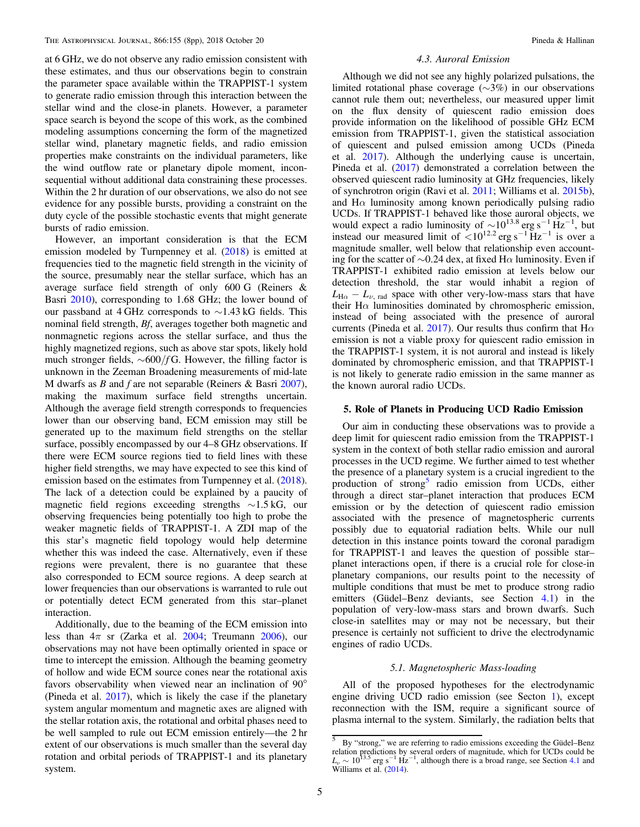<span id="page-4-0"></span>at 6 GHz, we do not observe any radio emission consistent with these estimates, and thus our observations begin to constrain the parameter space available within the TRAPPIST-1 system to generate radio emission through this interaction between the stellar wind and the close-in planets. However, a parameter space search is beyond the scope of this work, as the combined modeling assumptions concerning the form of the magnetized stellar wind, planetary magnetic fields, and radio emission properties make constraints on the individual parameters, like the wind outflow rate or planetary dipole moment, inconsequential without additional data constraining these processes. Within the 2 hr duration of our observations, we also do not see evidence for any possible bursts, providing a constraint on the duty cycle of the possible stochastic events that might generate bursts of radio emission.

However, an important consideration is that the ECM emission modeled by Turnpenney et al. ([2018](#page-7-0)) is emitted at frequencies tied to the magnetic field strength in the vicinity of the source, presumably near the stellar surface, which has an average surface field strength of only 600 G (Reiners & Basri [2010](#page-7-0)), corresponding to 1.68 GHz; the lower bound of our passband at 4 GHz corresponds to ∼1.43 kG fields. This nominal field strength, Bf, averages together both magnetic and nonmagnetic regions across the stellar surface, and thus the highly magnetized regions, such as above star spots, likely hold much stronger fields,  $\sim 600/f$ G. However, the filling factor is unknown in the Zeeman Broadening measurements of mid-late M dwarfs as  $B$  and  $f$  are not separable (Reiners & Basri [2007](#page-7-0)), making the maximum surface field strengths uncertain. Although the average field strength corresponds to frequencies lower than our observing band, ECM emission may still be generated up to the maximum field strengths on the stellar surface, possibly encompassed by our 4–8 GHz observations. If there were ECM source regions tied to field lines with these higher field strengths, we may have expected to see this kind of emission based on the estimates from Turnpenney et al. ([2018](#page-7-0)). The lack of a detection could be explained by a paucity of magnetic field regions exceeding strengths ∼1.5 kG, our observing frequencies being potentially too high to probe the weaker magnetic fields of TRAPPIST-1. A ZDI map of the this star's magnetic field topology would help determine whether this was indeed the case. Alternatively, even if these regions were prevalent, there is no guarantee that these also corresponded to ECM source regions. A deep search at lower frequencies than our observations is warranted to rule out or potentially detect ECM generated from this star–planet interaction.

Additionally, due to the beaming of the ECM emission into less than  $4\pi$  sr (Zarka et al. [2004;](#page-7-0) Treumann [2006](#page-7-0)), our observations may not have been optimally oriented in space or time to intercept the emission. Although the beaming geometry of hollow and wide ECM source cones near the rotational axis favors observability when viewed near an inclination of 90° (Pineda et al. [2017](#page-7-0)), which is likely the case if the planetary system angular momentum and magnetic axes are aligned with the stellar rotation axis, the rotational and orbital phases need to be well sampled to rule out ECM emission entirely—the 2 hr extent of our observations is much smaller than the several day rotation and orbital periods of TRAPPIST-1 and its planetary system.

## 4.3. Auroral Emission

Although we did not see any highly polarized pulsations, the limited rotational phase coverage (∼3%) in our observations cannot rule them out; nevertheless, our measured upper limit on the flux density of quiescent radio emission does provide information on the likelihood of possible GHz ECM emission from TRAPPIST-1, given the statistical association of quiescent and pulsed emission among UCDs (Pineda et al. [2017](#page-7-0)). Although the underlying cause is uncertain, Pineda et al. ([2017](#page-7-0)) demonstrated a correlation between the observed quiescent radio luminosity at GHz frequencies, likely of synchrotron origin (Ravi et al. [2011;](#page-7-0) Williams et al. [2015b](#page-7-0)), and  $H\alpha$  luminosity among known periodically pulsing radio UCDs. If TRAPPIST-1 behaved like those auroral objects, we would expect a radio luminosity of  $\sim 10^{13.8}$  erg s<sup>-1</sup> Hz<sup>-1</sup>, but instead our measured limit of  $< 10^{12.2}$  erg s<sup>-1</sup> Hz<sup>-1</sup> is over a magnitude smaller, well below that relationship even accounting for the scatter of  $\sim$ 0.24 dex, at fixed Hα luminosity. Even if TRAPPIST-1 exhibited radio emission at levels below our detection threshold, the star would inhabit a region of  $L_{\text{H}\alpha} - L_{\nu, \text{rad}}$  space with other very-low-mass stars that have their  $H\alpha$  luminosities dominated by chromospheric emission, instead of being associated with the presence of auroral currents (Pineda et al. [2017](#page-7-0)). Our results thus confirm that  $H\alpha$ emission is not a viable proxy for quiescent radio emission in the TRAPPIST-1 system, it is not auroral and instead is likely dominated by chromospheric emission, and that TRAPPIST-1 is not likely to generate radio emission in the same manner as the known auroral radio UCDs.

#### 5. Role of Planets in Producing UCD Radio Emission

Our aim in conducting these observations was to provide a deep limit for quiescent radio emission from the TRAPPIST-1 system in the context of both stellar radio emission and auroral processes in the UCD regime. We further aimed to test whether the presence of a planetary system is a crucial ingredient to the production of strong<sup>5</sup> radio emission from UCDs, either through a direct star–planet interaction that produces ECM emission or by the detection of quiescent radio emission associated with the presence of magnetospheric currents possibly due to equatorial radiation belts. While our null detection in this instance points toward the coronal paradigm for TRAPPIST-1 and leaves the question of possible star– planet interactions open, if there is a crucial role for close-in planetary companions, our results point to the necessity of multiple conditions that must be met to produce strong radio emitters (Güdel–Benz deviants, see Section [4.1](#page-2-0)) in the population of very-low-mass stars and brown dwarfs. Such close-in satellites may or may not be necessary, but their presence is certainly not sufficient to drive the electrodynamic engines of radio UCDs.

# 5.1. Magnetospheric Mass-loading

All of the proposed hypotheses for the electrodynamic engine driving UCD radio emission (see Secton [1](#page-0-0)), except reconnection with the ISM, require a significant source of plasma internal to the system. Similarly, the radiation belts that

 $\overline{5}$  By "strong," we are referring to radio emissions exceeding the Güdel–Benz relation predictions by several orders of magnitude, which for UCDs could be  $L_{\nu} \sim 10^{13.5}$  erg s<sup>−1</sup> Hz<sup>−1</sup>, although there is a broad range, see Section [4.1](#page-2-0) and Williams et al. ([2014](#page-7-0)).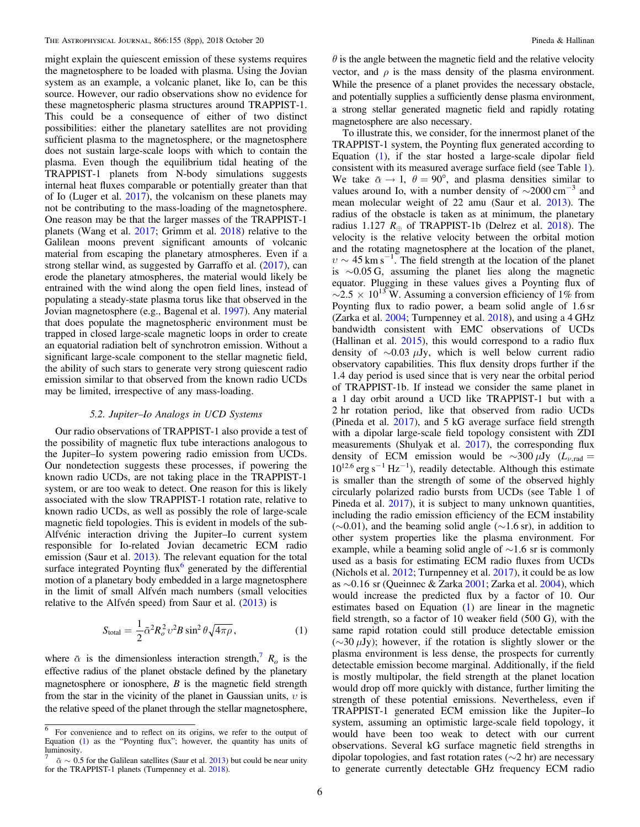<span id="page-5-0"></span>might explain the quiescent emission of these systems requires the magnetosphere to be loaded with plasma. Using the Jovian system as an example, a volcanic planet, like Io, can be this source. However, our radio observations show no evidence for these magnetospheric plasma structures around TRAPPIST-1. This could be a consequence of either of two distinct possibilities: either the planetary satellites are not providing sufficient plasma to the magnetosphere, or the magnetosphere does not sustain large-scale loops with which to contain the plasma. Even though the equilibrium tidal heating of the TRAPPIST-1 planets from N-body simulations suggests internal heat fluxes comparable or potentially greater than that of Io (Luger et al. [2017](#page-7-0)), the volcanism on these planets may not be contributing to the mass-loading of the magnetosphere. One reason may be that the larger masses of the TRAPPIST-1 planets (Wang et al. [2017;](#page-7-0) Grimm et al. [2018](#page-7-0)) relative to the Galilean moons prevent significant amounts of volcanic material from escaping the planetary atmospheres. Even if a strong stellar wind, as suggested by Garraffo et al. ([2017](#page-7-0)), can erode the planetary atmospheres, the material would likely be entrained with the wind along the open field lines, instead of populating a steady-state plasma torus like that observed in the Jovian magnetosphere (e.g., Bagenal et al. [1997](#page-7-0)). Any material that does populate the magnetospheric environment must be trapped in closed large-scale magnetic loops in order to create an equatorial radiation belt of synchrotron emission. Without a significant large-scale component to the stellar magnetic field, the ability of such stars to generate very strong quiescent radio emission similar to that observed from the known radio UCDs may be limited, irrespective of any mass-loading.

# 5.2. Jupiter–Io Analogs in UCD Systems

Our radio observations of TRAPPIST-1 also provide a test of the possibility of magnetic flux tube interactions analogous to the Jupiter–Io system powering radio emission from UCDs. Our nondetection suggests these processes, if powering the known radio UCDs, are not taking place in the TRAPPIST-1 system, or are too weak to detect. One reason for this is likely associated with the slow TRAPPIST-1 rotation rate, relative to known radio UCDs, as well as possibly the role of large-scale magnetic field topologies. This is evident in models of the sub-Alfvénic interaction driving the Jupiter–Io current system responsible for Io-related Jovian decametric ECM radio emission (Saur et al. [2013](#page-7-0)). The relevant equation for the total surface integrated Poynting flux $6$  generated by the differential motion of a planetary body embedded in a large magnetosphere in the limit of small Alfvén mach numbers (small velocities relative to the Alfvén speed) from Saur et al. ([2013](#page-7-0)) is

$$
S_{\text{total}} = \frac{1}{2} \bar{\alpha}^2 R_o^2 \upsilon^2 B \sin^2 \theta \sqrt{4 \pi \rho}, \qquad (1)
$$

where  $\bar{\alpha}$  is the dimensionless interaction strength,<sup> $R_o$ </sup> is the effective radius of the planet obstacle defined by the planetary magnetosphere or ionosphere,  $B$  is the magnetic field strength from the star in the vicinity of the planet in Gaussian units,  $v$  is the relative speed of the planet through the stellar magnetosphere,

 $\theta$  is the angle between the magnetic field and the relative velocity vector, and  $\rho$  is the mass density of the plasma environment. While the presence of a planet provides the necessary obstacle, and potentially supplies a sufficiently dense plasma environment, a strong stellar generated magnetic field and rapidly rotating magnetosphere are also necessary.

To illustrate this, we consider, for the innermost planet of the TRAPPIST-1 system, the Poynting flux generated according to Equation (1), if the star hosted a large-scale dipolar field consistent with its measured average surface field (see Table [1](#page-1-0)). We take  $\bar{\alpha} \rightarrow 1$ ,  $\theta = 90^{\circ}$ , and plasma densities similar to values around Io, with a number density of  $\sim$ 2000 cm<sup>-3</sup> and mean molecular weight of 22 amu (Saur et al. [2013](#page-7-0)). The radius of the obstacle is taken as at minimum, the planetary radius 1.127  $R_{\oplus}$  of TRAPPIST-1b (Delrez et al. [2018](#page-7-0)). The velocity is the relative velocity between the orbital motion and the rotating magnetosphere at the location of the planet,  $v \sim 45 \text{ km s}^{-1}$ . The field strength at the location of the planet is ∼0.05 G, assuming the planet lies along the magnetic equator. Plugging in these values gives a Poynting flux of  $\sim$ 2.5 × 10<sup>13</sup> W. Assuming a conversion efficiency of 1% from Poynting flux to radio power, a beam solid angle of 1.6 sr (Zarka et al. [2004;](#page-7-0) Turnpenney et al. [2018](#page-7-0)), and using a 4 GHz bandwidth consistent with EMC observations of UCDs (Hallinan et al. [2015](#page-7-0)), this would correspond to a radio flux density of  $\sim$ 0.03  $\mu$ Jy, which is well below current radio observatory capabilities. This flux density drops further if the 1.4 day period is used since that is very near the orbital period of TRAPPIST-1b. If instead we consider the same planet in a 1 day orbit around a UCD like TRAPPIST-1 but with a 2 hr rotation period, like that observed from radio UCDs (Pineda et al. [2017](#page-7-0)), and 5 kG average surface field strength with a dipolar large-scale field topology consistent with ZDI measurements (Shulyak et al. [2017](#page-7-0)), the corresponding flux density of ECM emission would be  $\sim$ 300  $\mu$ Jy ( $L_{\nu,rad}$  =  $10^{12.6}$  erg s<sup>-1</sup> Hz<sup>-1</sup>), readily detectable. Although this estimate is smaller than the strength of some of the observed highly circularly polarized radio bursts from UCDs (see Table 1 of Pineda et al. [2017](#page-7-0)), it is subject to many unknown quantities, including the radio emission efficiency of the ECM instability  $(\sim 0.01)$ , and the beaming solid angle ( $\sim 1.6$  sr), in addition to other system properties like the plasma environment. For example, while a beaming solid angle of ∼1.6 sr is commonly used as a basis for estimating ECM radio fluxes from UCDs (Nichols et al. [2012](#page-7-0); Turnpenney et al. [2017](#page-7-0)), it could be as low as ∼0.16 sr (Queinnec & Zarka [2001](#page-7-0); Zarka et al. [2004](#page-7-0)), which would increase the predicted flux by a factor of 10. Our estimates based on Equation (1) are linear in the magnetic field strength, so a factor of 10 weaker field (500 G), with the same rapid rotation could still produce detectable emission  $(\sim 30 \mu Jy)$ ; however, if the rotation is slightly slower or the plasma environment is less dense, the prospects for currently detectable emission become marginal. Additionally, if the field is mostly multipolar, the field strength at the planet location would drop off more quickly with distance, further limiting the strength of these potential emissions. Nevertheless, even if TRAPPIST-1 generated ECM emission like the Jupiter–Io system, assuming an optimistic large-scale field topology, it would have been too weak to detect with our current observations. Several kG surface magnetic field strengths in dipolar topologies, and fast rotation rates (∼2 hr) are necessary to generate currently detectable GHz frequency ECM radio

<sup>6</sup> For convenience and to reflect on its origins, we refer to the output of Equation (1) as the "Poynting flux"; however, the quantity has units of luminosity.

 $\bar{\alpha} \sim 0.5$  for the Galilean satellites (Saur et al. [2013](#page-7-0)) but could be near unity for the TRAPPIST-1 planets (Turnpenney et al. [2018](#page-7-0)).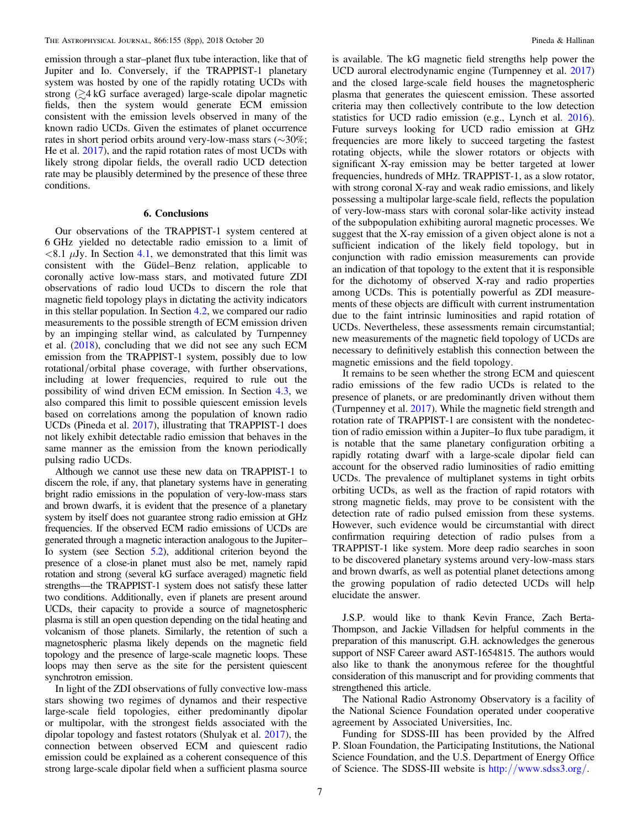<span id="page-6-0"></span>emission through a star–planet flux tube interaction, like that of Jupiter and Io. Conversely, if the TRAPPIST-1 planetary system was hosted by one of the rapidly rotating UCDs with strong  $(24 kG)$  surface averaged) large-scale dipolar magnetic fields, then the system would generate ECM emission consistent with the emission levels observed in many of the known radio UCDs. Given the estimates of planet occurrence rates in short period orbits around very-low-mass stars (∼30%; He et al. [2017](#page-7-0)), and the rapid rotation rates of most UCDs with likely strong dipolar fields, the overall radio UCD detection rate may be plausibly determined by the presence of these three conditions.

# 6. Conclusions

Our observations of the TRAPPIST-1 system centered at 6 GHz yielded no detectable radio emission to a limit of  $\langle 8.1 \mu Jy$ . In Section [4.1,](#page-2-0) we demonstrated that this limit was consistent with the Güdel–Benz relation, applicable to coronally active low-mass stars, and motivated future ZDI observations of radio loud UCDs to discern the role that magnetic field topology plays in dictating the activity indicators in this stellar population. In Section [4.2](#page-3-0), we compared our radio measurements to the possible strength of ECM emission driven by an impinging stellar wind, as calculated by Turnpenney et al. ([2018](#page-7-0)), concluding that we did not see any such ECM emission from the TRAPPIST-1 system, possibly due to low rotational/orbital phase coverage, with further observations, including at lower frequencies, required to rule out the possibility of wind driven ECM emission. In Section [4.3](#page-4-0), we also compared this limit to possible quiescent emission levels based on correlations among the population of known radio UCDs (Pineda et al. [2017](#page-7-0)), illustrating that TRAPPIST-1 does not likely exhibit detectable radio emission that behaves in the same manner as the emission from the known periodically pulsing radio UCDs.

Although we cannot use these new data on TRAPPIST-1 to discern the role, if any, that planetary systems have in generating bright radio emissions in the population of very-low-mass stars and brown dwarfs, it is evident that the presence of a planetary system by itself does not guarantee strong radio emission at GHz frequencies. If the observed ECM radio emissions of UCDs are generated through a magnetic interaction analogous to the Jupiter– Io system (see Section [5.2](#page-5-0)), additional criterion beyond the presence of a close-in planet must also be met, namely rapid rotation and strong (several kG surface averaged) magnetic field strengths—the TRAPPIST-1 system does not satisfy these latter two conditions. Additionally, even if planets are present around UCDs, their capacity to provide a source of magnetospheric plasma is still an open question depending on the tidal heating and volcanism of those planets. Similarly, the retention of such a magnetospheric plasma likely depends on the magnetic field topology and the presence of large-scale magnetic loops. These loops may then serve as the site for the persistent quiescent synchrotron emission.

In light of the ZDI observations of fully convective low-mass stars showing two regimes of dynamos and their respective large-scale field topologies, either predominantly dipolar or multipolar, with the strongest fields associated with the dipolar topology and fastest rotators (Shulyak et al. [2017](#page-7-0)), the connection between observed ECM and quiescent radio emission could be explained as a coherent consequence of this strong large-scale dipolar field when a sufficient plasma source

is available. The kG magnetic field strengths help power the UCD auroral electrodynamic engine (Turnpenney et al. [2017](#page-7-0)) and the closed large-scale field houses the magnetospheric plasma that generates the quiescent emission. These assorted criteria may then collectively contribute to the low detection statistics for UCD radio emission (e.g., Lynch et al. [2016](#page-7-0)). Future surveys looking for UCD radio emission at GHz frequencies are more likely to succeed targeting the fastest rotating objects, while the slower rotators or objects with significant X-ray emission may be better targeted at lower frequencies, hundreds of MHz. TRAPPIST-1, as a slow rotator, with strong coronal X-ray and weak radio emissions, and likely possessing a multipolar large-scale field, reflects the population of very-low-mass stars with coronal solar-like activity instead of the subpopulation exhibiting auroral magnetic processes. We suggest that the X-ray emission of a given object alone is not a sufficient indication of the likely field topology, but in conjunction with radio emission measurements can provide an indication of that topology to the extent that it is responsible for the dichotomy of observed X-ray and radio properties among UCDs. This is potentially powerful as ZDI measurements of these objects are difficult with current instrumentation due to the faint intrinsic luminosities and rapid rotation of UCDs. Nevertheless, these assessments remain circumstantial; new measurements of the magnetic field topology of UCDs are necessary to definitively establish this connection between the magnetic emissions and the field topology.

It remains to be seen whether the strong ECM and quiescent radio emissions of the few radio UCDs is related to the presence of planets, or are predominantly driven without them (Turnpenney et al. [2017](#page-7-0)). While the magnetic field strength and rotation rate of TRAPPIST-1 are consistent with the nondetection of radio emission within a Jupiter–Io flux tube paradigm, it is notable that the same planetary configuration orbiting a rapidly rotating dwarf with a large-scale dipolar field can account for the observed radio luminosities of radio emitting UCDs. The prevalence of multiplanet systems in tight orbits orbiting UCDs, as well as the fraction of rapid rotators with strong magnetic fields, may prove to be consistent with the detection rate of radio pulsed emission from these systems. However, such evidence would be circumstantial with direct confirmation requiring detection of radio pulses from a TRAPPIST-1 like system. More deep radio searches in soon to be discovered planetary systems around very-low-mass stars and brown dwarfs, as well as potential planet detections among the growing population of radio detected UCDs will help elucidate the answer.

J.S.P. would like to thank Kevin France, Zach Berta-Thompson, and Jackie Villadsen for helpful comments in the preparation of this manuscript. G.H. acknowledges the generous support of NSF Career award AST-1654815. The authors would also like to thank the anonymous referee for the thoughtful consideration of this manuscript and for providing comments that strengthened this article.

The National Radio Astronomy Observatory is a facility of the National Science Foundation operated under cooperative agreement by Associated Universities, Inc.

Funding for SDSS-III has been provided by the Alfred P. Sloan Foundation, the Participating Institutions, the National Science Foundation, and the U.S. Department of Energy Office of Science. The SDSS-III website is http://[www.sdss3.org](http://www.sdss3.org/)/.